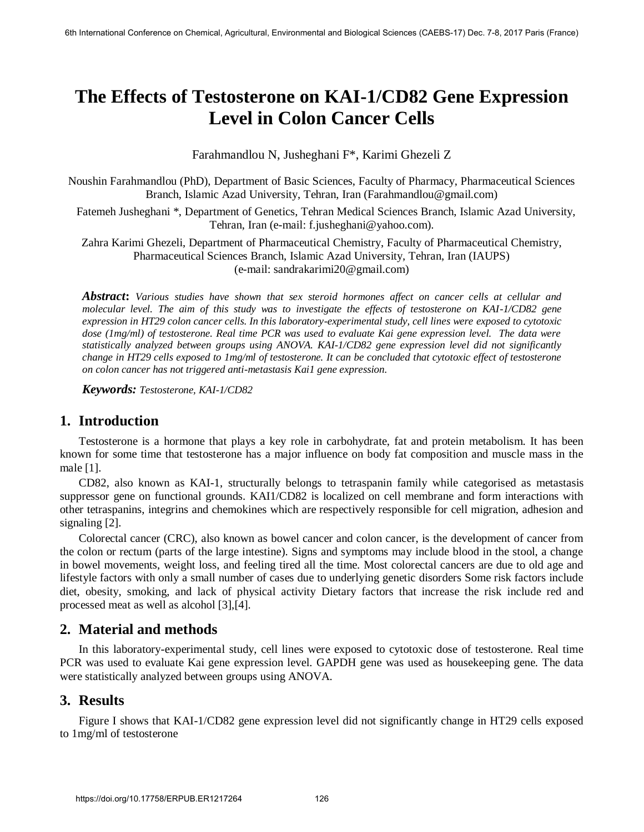# **The Effects of Testosterone on KAI-1/CD82 Gene Expression Level in Colon Cancer Cells**

Farahmandlou N, Jusheghani F\*, Karimi Ghezeli Z

Noushin Farahmandlou (PhD), Department of Basic Sciences, Faculty of Pharmacy, Pharmaceutical Sciences Branch, Islamic Azad University, Tehran, Iran (Farahmandlou@gmail.com)

 Fatemeh Jusheghani \*, Department of Genetics, Tehran Medical Sciences Branch, Islamic Azad University, Tehran, Iran (e-mail: f.jusheghani@yahoo.com).

Zahra Karimi Ghezeli, Department of Pharmaceutical Chemistry, Faculty of Pharmaceutical Chemistry, Pharmaceutical Sciences Branch, Islamic Azad University, Tehran, Iran (IAUPS) (e-mail: sandrakarimi20@gmail.com)

*Abstract***:** *Various studies have shown that sex steroid hormones affect on cancer cells at cellular and molecular level. The aim of this study was to investigate the effects of testosterone on KAI-1/CD82 gene expression in HT29 colon cancer cells. In this laboratory-experimental study, cell lines were exposed to cytotoxic dose (1mg/ml) of testosterone. Real time PCR was used to evaluate Kai gene expression level. The data were statistically analyzed between groups using ANOVA. KAI-1/CD82 gene expression level did not significantly change in HT29 cells exposed to 1mg/ml of testosterone. It can be concluded that cytotoxic effect of testosterone on colon cancer has not triggered anti-metastasis Kai1 gene expression.* 

*Keywords: Testosterone, KAI-1/CD82* 

#### **1. Introduction**

Testosterone is a hormone that plays a key role in carbohydrate, fat and protein metabolism. It has been known for some time that testosterone has a major influence on body fat composition and muscle mass in the male [1].

CD82, also known as KAI-1, structurally belongs to tetraspanin family while categorised as metastasis suppressor gene on functional grounds. KAI1/CD82 is localized on cell membrane and form interactions with other tetraspanins, integrins and chemokines which are respectively responsible for cell migration, adhesion and signaling [2].

Colorectal cancer (CRC), also known as bowel cancer and colon cancer, is the development of cancer from the colon or rectum (parts of the large intestine). Signs and symptoms may include blood in the stool, a change in bowel movements, weight loss, and feeling tired all the time. Most colorectal cancers are due to old age and lifestyle factors with only a small number of cases due to underlying genetic disorders Some risk factors include diet, obesity, smoking, and lack of physical activity Dietary factors that increase the risk include red and processed meat as well as alcohol [3],[4].

#### **2. Material and methods**

In this laboratory-experimental study, cell lines were exposed to cytotoxic dose of testosterone. Real time PCR was used to evaluate Kai gene expression level. GAPDH gene was used as housekeeping gene. The data were statistically analyzed between groups using ANOVA.

#### **3. Results**

Figure I shows that KAI-1/CD82 gene expression level did not significantly change in HT29 cells exposed to 1mg/ml of testosterone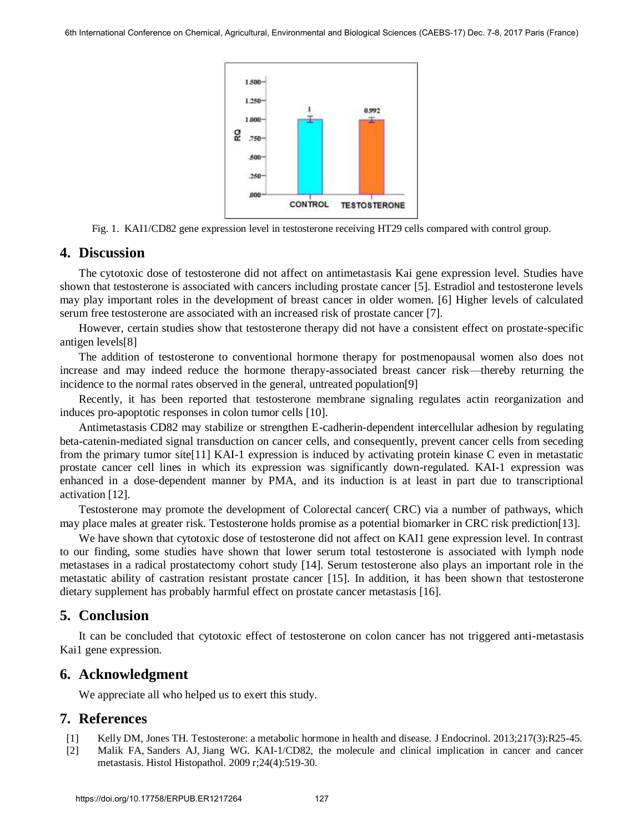

Fig. 1. KAI1/CD82 gene expression level in testosterone receiving HT29 cells compared with control group.

## **4. Discussion**

The cytotoxic dose of testosterone did not affect on antimetastasis Kai gene expression level. Studies have shown that testosterone is associated with cancers including prostate cancer [5]. Estradiol and testosterone levels may play important roles in the development of breast cancer in older women. [6] Higher levels of calculated serum free testosterone are associated with an increased risk of prostate cancer [7].

However, certain studies show that testosterone therapy did not have a consistent effect on prostate-specific antigen levels[8]

The addition of testosterone to conventional hormone therapy for postmenopausal women also does not increase and may indeed reduce the hormone therapy-associated breast cancer risk—thereby returning the incidence to the normal rates observed in the general, untreated population[9]

Recently, it has been reported that testosterone membrane signaling regulates actin reorganization and induces pro-apoptotic responses in colon tumor cells [10].

Antimetastasis CD82 may stabilize or strengthen E-cadherin-dependent intercellular adhesion by regulating beta-catenin-mediated signal transduction on cancer cells, and consequently, prevent cancer cells from seceding from the primary tumor site[11] KAI-1 expression is induced by activating protein kinase C even in metastatic prostate cancer cell lines in which its expression was significantly down-regulated. KAI-1 expression was enhanced in a dose-dependent manner by PMA, and its induction is at least in part due to transcriptional activation [12].

Testosterone may promote the development of Colorectal cancer( CRC) via a number of pathways, which may place males at greater risk. Testosterone holds promise as a potential biomarker in CRC risk prediction[13].

We have shown that cytotoxic dose of testosterone did not affect on KAI1 gene expression level. In contrast to our finding, some studies have shown that lower serum total testosterone is associated with lymph node metastases in a radical prostatectomy cohort study [14]. Serum testosterone also plays an important role in the metastatic ability of castration resistant prostate cancer [15]. In addition, it has been shown that testosterone dietary supplement has probably harmful effect on prostate cancer metastasis [16].

## **5. Conclusion**

It can be concluded that cytotoxic effect of testosterone on colon cancer has not triggered anti-metastasis Kai1 gene expression.

## **6. Acknowledgment**

We appreciate all who helped us to exert this study.

## **7. References**

- [1] [Kelly DM,](https://www.ncbi.nlm.nih.gov/pubmed/?term=Kelly%20DM%5BAuthor%5D&cauthor=true&cauthor_uid=23378050) [Jones TH.](https://www.ncbi.nlm.nih.gov/pubmed/?term=Jones%20TH%5BAuthor%5D&cauthor=true&cauthor_uid=23378050) Testosterone: a metabolic hormone in health and disease. [J Endocrinol.](https://www.ncbi.nlm.nih.gov/pubmed/23378050) 2013;217(3):R25-45.
- [2] [Malik FA,](https://www.ncbi.nlm.nih.gov/pubmed/?term=Malik%20FA%5BAuthor%5D&cauthor=true&cauthor_uid=19224455) [Sanders AJ,](https://www.ncbi.nlm.nih.gov/pubmed/?term=Sanders%20AJ%5BAuthor%5D&cauthor=true&cauthor_uid=19224455) [Jiang WG.](https://www.ncbi.nlm.nih.gov/pubmed/?term=Jiang%20WG%5BAuthor%5D&cauthor=true&cauthor_uid=19224455) KAI-1/CD82, the molecule and clinical implication in cancer and cancer metastasis. [Histol Histopathol.](https://www.ncbi.nlm.nih.gov/pubmed/19224455) 2009 r;24(4):519-30.